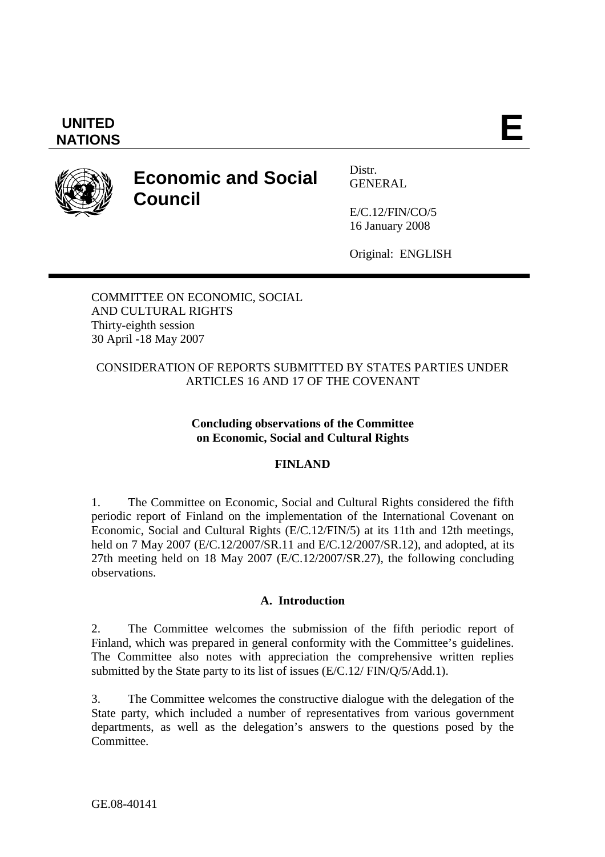# **UNITED**  UNITED **E**<br>NATIONS

# **Economic and Social Council**

Distr. GENERAL

E/C.12/FIN/CO/5 16 January 2008

Original: ENGLISH

COMMITTEE ON ECONOMIC, SOCIAL AND CULTURAL RIGHTS Thirty-eighth session 30 April -18 May 2007

#### CONSIDERATION OF REPORTS SUBMITTED BY STATES PARTIES UNDER ARTICLES 16 AND 17 OF THE COVENANT

#### **Concluding observations of the Committee on Economic, Social and Cultural Rights**

#### **FINLAND**

1. The Committee on Economic, Social and Cultural Rights considered the fifth periodic report of Finland on the implementation of the International Covenant on Economic, Social and Cultural Rights (E/C.12/FIN/5) at its 11th and 12th meetings, held on 7 May 2007 (E/C.12/2007/SR.11 and E/C.12/2007/SR.12), and adopted, at its 27th meeting held on 18 May 2007 (E/C.12/2007/SR.27), the following concluding observations.

#### **A. Introduction**

2. The Committee welcomes the submission of the fifth periodic report of Finland, which was prepared in general conformity with the Committee's guidelines. The Committee also notes with appreciation the comprehensive written replies submitted by the State party to its list of issues (E/C.12/ FIN/Q/5/Add.1).

3. The Committee welcomes the constructive dialogue with the delegation of the State party, which included a number of representatives from various government departments, as well as the delegation's answers to the questions posed by the Committee.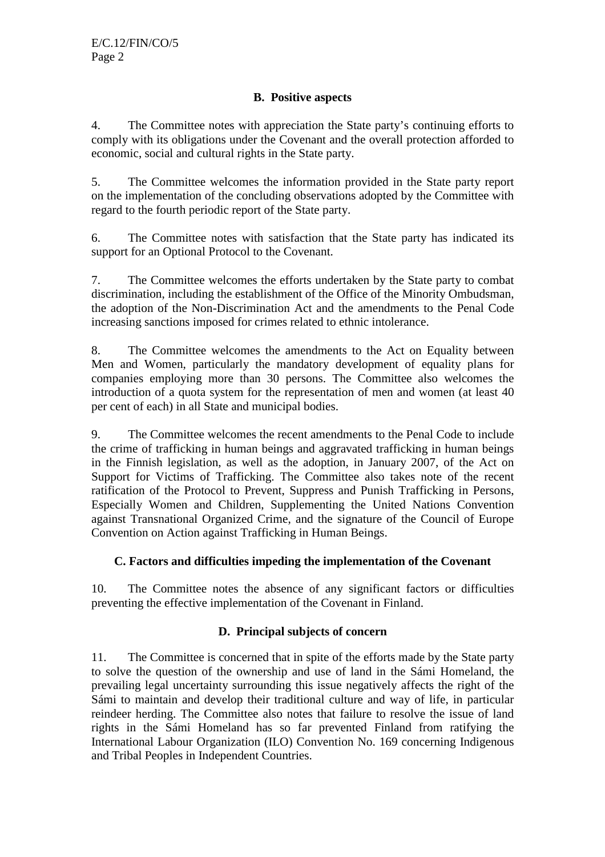#### **B. Positive aspects**

4. The Committee notes with appreciation the State party's continuing efforts to comply with its obligations under the Covenant and the overall protection afforded to economic, social and cultural rights in the State party.

5. The Committee welcomes the information provided in the State party report on the implementation of the concluding observations adopted by the Committee with regard to the fourth periodic report of the State party.

6. The Committee notes with satisfaction that the State party has indicated its support for an Optional Protocol to the Covenant.

7. The Committee welcomes the efforts undertaken by the State party to combat discrimination, including the establishment of the Office of the Minority Ombudsman, the adoption of the Non-Discrimination Act and the amendments to the Penal Code increasing sanctions imposed for crimes related to ethnic intolerance.

8. The Committee welcomes the amendments to the Act on Equality between Men and Women, particularly the mandatory development of equality plans for companies employing more than 30 persons. The Committee also welcomes the introduction of a quota system for the representation of men and women (at least 40 per cent of each) in all State and municipal bodies.

9. The Committee welcomes the recent amendments to the Penal Code to include the crime of trafficking in human beings and aggravated trafficking in human beings in the Finnish legislation, as well as the adoption, in January 2007, of the Act on Support for Victims of Trafficking. The Committee also takes note of the recent ratification of the Protocol to Prevent, Suppress and Punish Trafficking in Persons, Especially Women and Children, Supplementing the United Nations Convention against Transnational Organized Crime, and the signature of the Council of Europe Convention on Action against Trafficking in Human Beings.

#### **C. Factors and difficulties impeding the implementation of the Covenant**

10. The Committee notes the absence of any significant factors or difficulties preventing the effective implementation of the Covenant in Finland.

## **D. Principal subjects of concern**

11. The Committee is concerned that in spite of the efforts made by the State party to solve the question of the ownership and use of land in the Sámi Homeland, the prevailing legal uncertainty surrounding this issue negatively affects the right of the Sámi to maintain and develop their traditional culture and way of life, in particular reindeer herding. The Committee also notes that failure to resolve the issue of land rights in the Sámi Homeland has so far prevented Finland from ratifying the International Labour Organization (ILO) Convention No. 169 concerning Indigenous and Tribal Peoples in Independent Countries.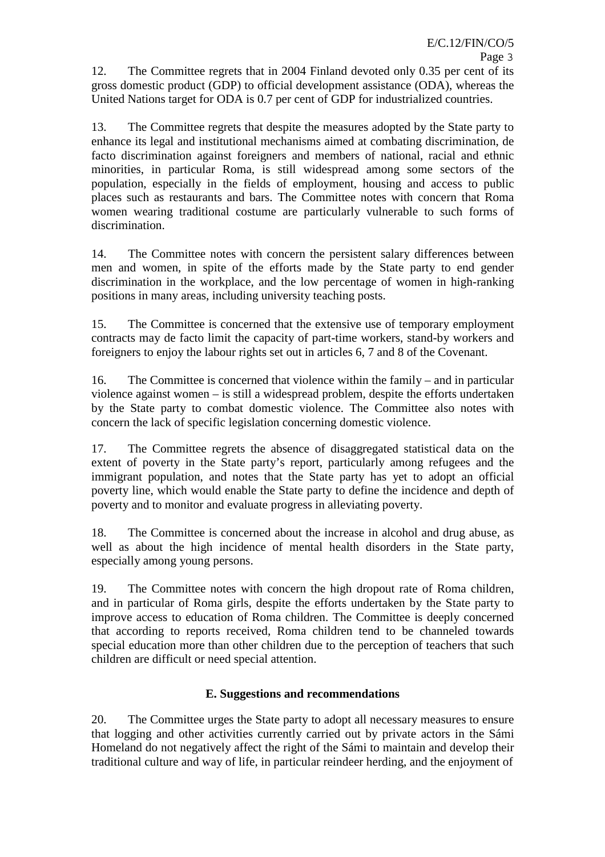12. The Committee regrets that in 2004 Finland devoted only 0.35 per cent of its gross domestic product (GDP) to official development assistance (ODA), whereas the United Nations target for ODA is 0.7 per cent of GDP for industrialized countries.

13. The Committee regrets that despite the measures adopted by the State party to enhance its legal and institutional mechanisms aimed at combating discrimination, de facto discrimination against foreigners and members of national, racial and ethnic minorities, in particular Roma, is still widespread among some sectors of the population, especially in the fields of employment, housing and access to public places such as restaurants and bars. The Committee notes with concern that Roma women wearing traditional costume are particularly vulnerable to such forms of discrimination.

14. The Committee notes with concern the persistent salary differences between men and women, in spite of the efforts made by the State party to end gender discrimination in the workplace, and the low percentage of women in high-ranking positions in many areas, including university teaching posts.

15. The Committee is concerned that the extensive use of temporary employment contracts may de facto limit the capacity of part-time workers, stand-by workers and foreigners to enjoy the labour rights set out in articles 6, 7 and 8 of the Covenant.

16. The Committee is concerned that violence within the family – and in particular violence against women – is still a widespread problem, despite the efforts undertaken by the State party to combat domestic violence. The Committee also notes with concern the lack of specific legislation concerning domestic violence.

17. The Committee regrets the absence of disaggregated statistical data on the extent of poverty in the State party's report, particularly among refugees and the immigrant population, and notes that the State party has yet to adopt an official poverty line, which would enable the State party to define the incidence and depth of poverty and to monitor and evaluate progress in alleviating poverty.

18. The Committee is concerned about the increase in alcohol and drug abuse, as well as about the high incidence of mental health disorders in the State party, especially among young persons.

19. The Committee notes with concern the high dropout rate of Roma children, and in particular of Roma girls, despite the efforts undertaken by the State party to improve access to education of Roma children. The Committee is deeply concerned that according to reports received, Roma children tend to be channeled towards special education more than other children due to the perception of teachers that such children are difficult or need special attention.

## **E. Suggestions and recommendations**

20. The Committee urges the State party to adopt all necessary measures to ensure that logging and other activities currently carried out by private actors in the Sámi Homeland do not negatively affect the right of the Sámi to maintain and develop their traditional culture and way of life, in particular reindeer herding, and the enjoyment of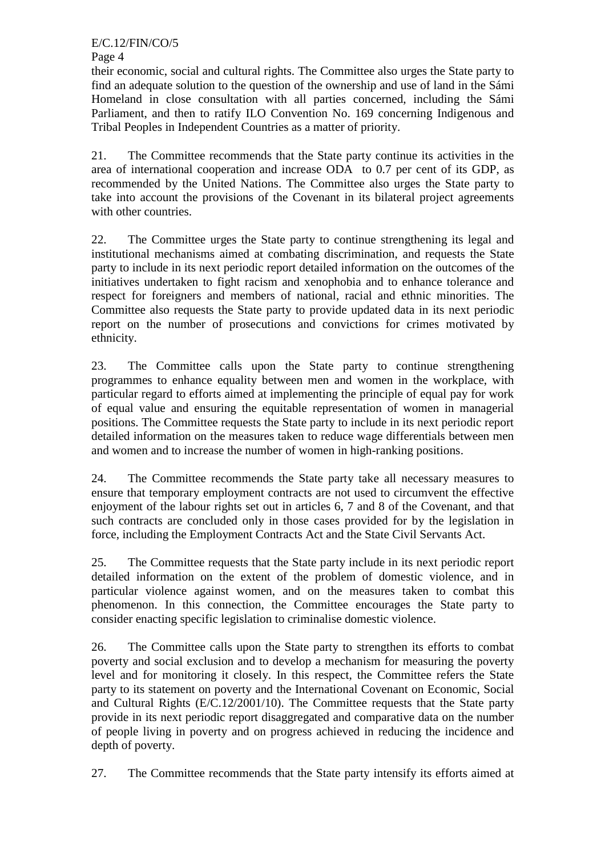Page 4

their economic, social and cultural rights. The Committee also urges the State party to find an adequate solution to the question of the ownership and use of land in the Sámi Homeland in close consultation with all parties concerned, including the Sámi Parliament, and then to ratify ILO Convention No. 169 concerning Indigenous and Tribal Peoples in Independent Countries as a matter of priority.

21. The Committee recommends that the State party continue its activities in the area of international cooperation and increase ODA to 0.7 per cent of its GDP, as recommended by the United Nations. The Committee also urges the State party to take into account the provisions of the Covenant in its bilateral project agreements with other countries.

22. The Committee urges the State party to continue strengthening its legal and institutional mechanisms aimed at combating discrimination, and requests the State party to include in its next periodic report detailed information on the outcomes of the initiatives undertaken to fight racism and xenophobia and to enhance tolerance and respect for foreigners and members of national, racial and ethnic minorities. The Committee also requests the State party to provide updated data in its next periodic report on the number of prosecutions and convictions for crimes motivated by ethnicity.

23. The Committee calls upon the State party to continue strengthening programmes to enhance equality between men and women in the workplace, with particular regard to efforts aimed at implementing the principle of equal pay for work of equal value and ensuring the equitable representation of women in managerial positions. The Committee requests the State party to include in its next periodic report detailed information on the measures taken to reduce wage differentials between men and women and to increase the number of women in high-ranking positions.

24. The Committee recommends the State party take all necessary measures to ensure that temporary employment contracts are not used to circumvent the effective enjoyment of the labour rights set out in articles 6, 7 and 8 of the Covenant, and that such contracts are concluded only in those cases provided for by the legislation in force, including the Employment Contracts Act and the State Civil Servants Act.

25. The Committee requests that the State party include in its next periodic report detailed information on the extent of the problem of domestic violence, and in particular violence against women, and on the measures taken to combat this phenomenon. In this connection, the Committee encourages the State party to consider enacting specific legislation to criminalise domestic violence.

26. The Committee calls upon the State party to strengthen its efforts to combat poverty and social exclusion and to develop a mechanism for measuring the poverty level and for monitoring it closely. In this respect, the Committee refers the State party to its statement on poverty and the International Covenant on Economic, Social and Cultural Rights (E/C.12/2001/10). The Committee requests that the State party provide in its next periodic report disaggregated and comparative data on the number of people living in poverty and on progress achieved in reducing the incidence and depth of poverty.

27. The Committee recommends that the State party intensify its efforts aimed at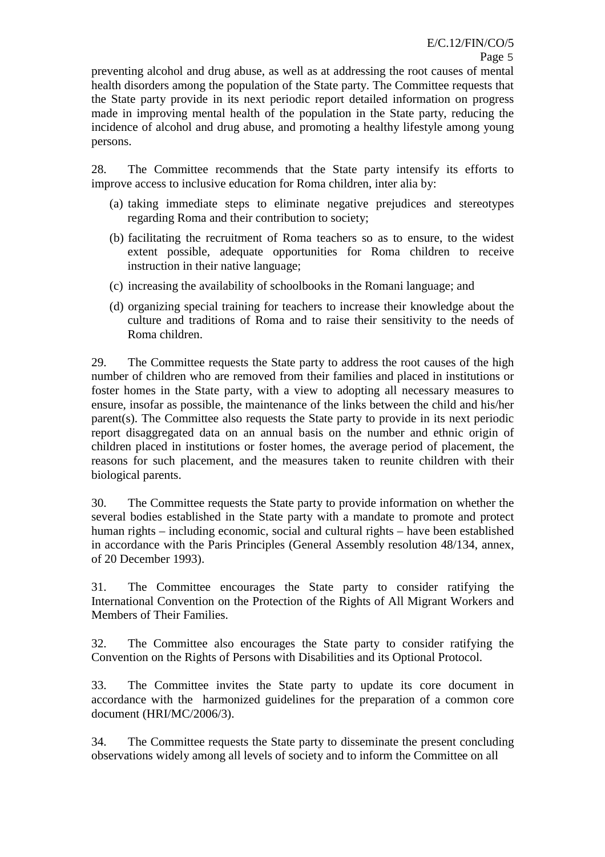preventing alcohol and drug abuse, as well as at addressing the root causes of mental health disorders among the population of the State party. The Committee requests that the State party provide in its next periodic report detailed information on progress made in improving mental health of the population in the State party, reducing the incidence of alcohol and drug abuse, and promoting a healthy lifestyle among young persons.

28. The Committee recommends that the State party intensify its efforts to improve access to inclusive education for Roma children, inter alia by:

- (a) taking immediate steps to eliminate negative prejudices and stereotypes regarding Roma and their contribution to society;
- (b) facilitating the recruitment of Roma teachers so as to ensure, to the widest extent possible, adequate opportunities for Roma children to receive instruction in their native language;
- (c) increasing the availability of schoolbooks in the Romani language; and
- (d) organizing special training for teachers to increase their knowledge about the culture and traditions of Roma and to raise their sensitivity to the needs of Roma children.

29. The Committee requests the State party to address the root causes of the high number of children who are removed from their families and placed in institutions or foster homes in the State party, with a view to adopting all necessary measures to ensure, insofar as possible, the maintenance of the links between the child and his/her parent(s). The Committee also requests the State party to provide in its next periodic report disaggregated data on an annual basis on the number and ethnic origin of children placed in institutions or foster homes, the average period of placement, the reasons for such placement, and the measures taken to reunite children with their biological parents.

30. The Committee requests the State party to provide information on whether the several bodies established in the State party with a mandate to promote and protect human rights – including economic, social and cultural rights – have been established in accordance with the Paris Principles (General Assembly resolution 48/134, annex, of 20 December 1993).

31. The Committee encourages the State party to consider ratifying the International Convention on the Protection of the Rights of All Migrant Workers and Members of Their Families.

32. The Committee also encourages the State party to consider ratifying the Convention on the Rights of Persons with Disabilities and its Optional Protocol.

33. The Committee invites the State party to update its core document in accordance with the harmonized guidelines for the preparation of a common core document (HRI/MC/2006/3).

34. The Committee requests the State party to disseminate the present concluding observations widely among all levels of society and to inform the Committee on all